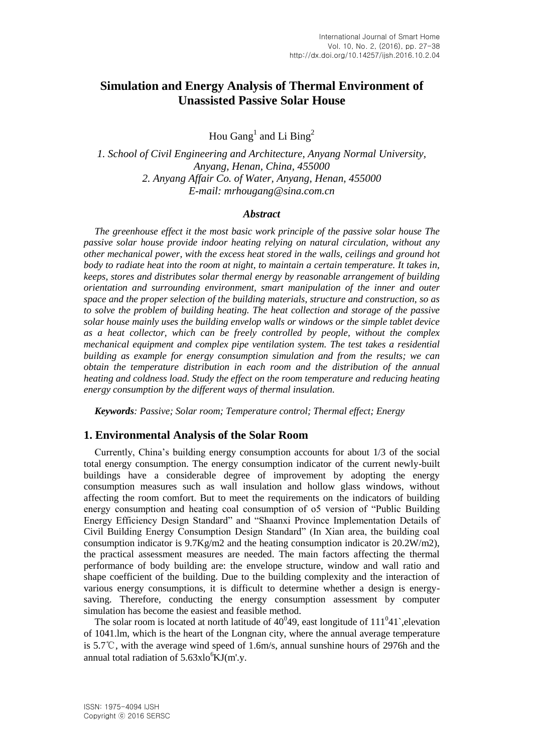# **Simulation and Energy Analysis of Thermal Environment of Unassisted Passive Solar House**

Hou Gang<sup>1</sup> and Li Bing<sup>2</sup>

*1. School of Civil Engineering and Architecture, Anyang Normal University, Anyang, Henan, China, 455000 2. Anyang Affair Co. of Water, Anyang, Henan, 455000 E-mail: mrhougang@sina.com.cn*

#### *Abstract*

*The greenhouse effect it the most basic work principle of the passive solar house The passive solar house provide indoor heating relying on natural circulation, without any other mechanical power, with the excess heat stored in the walls, ceilings and ground hot body to radiate heat into the room at night, to maintain a certain temperature. It takes in, keeps, stores and distributes solar thermal energy by reasonable arrangement of building orientation and surrounding environment, smart manipulation of the inner and outer space and the proper selection of the building materials, structure and construction, so as to solve the problem of building heating. The heat collection and storage of the passive solar house mainly uses the building envelop walls or windows or the simple tablet device as a heat collector, which can be freely controlled by people, without the complex mechanical equipment and complex pipe ventilation system. The test takes a residential building as example for energy consumption simulation and from the results; we can obtain the temperature distribution in each room and the distribution of the annual heating and coldness load. Study the effect on the room temperature and reducing heating energy consumption by the different ways of thermal insulation.*

*Keywords: Passive; Solar room; Temperature control; Thermal effect; Energy*

## **1. Environmental Analysis of the Solar Room**

Currently, China's building energy consumption accounts for about 1/3 of the social total energy consumption. The energy consumption indicator of the current newly-built buildings have a considerable degree of improvement by adopting the energy consumption measures such as wall insulation and hollow glass windows, without affecting the room comfort. But to meet the requirements on the indicators of building energy consumption and heating coal consumption of o5 version of "Public Building Energy Efficiency Design Standard" and "Shaanxi Province Implementation Details of Civil Building Energy Consumption Design Standard" (In Xian area, the building coal consumption indicator is  $9.7\text{Kg/m2}$  and the heating consumption indicator is  $20.2\text{W/m2}$ , the practical assessment measures are needed. The main factors affecting the thermal performance of body building are: the envelope structure, window and wall ratio and shape coefficient of the building. Due to the building complexity and the interaction of various energy consumptions, it is difficult to determine whether a design is energysaving. Therefore, conducting the energy consumption assessment by computer simulation has become the easiest and feasible method.

The solar room is located at north latitude of  $40^049$ , east longitude of  $111^041$ , elevation of 1041.lm, which is the heart of the Longnan city, where the annual average temperature is 5.7℃, with the average wind speed of 1.6m/s, annual sunshine hours of 2976h and the annual total radiation of  $5.63xlo<sup>6</sup>KJ(m'.y.$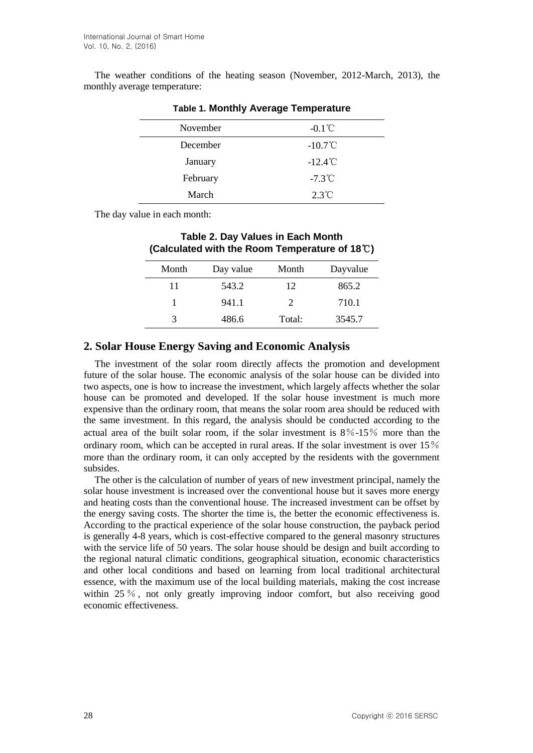The weather conditions of the heating season (November, 2012-March, 2013), the monthly average temperature:

| November | $-0.1^{\circ}$ C  |
|----------|-------------------|
| December | $-10.7^{\circ}$ C |
| January  | $-12.4^{\circ}$ C |
| February | $-7.3^{\circ}$ C  |
| March    | $2.3^{\circ}C$    |

### **Table 1. Monthly Average Temperature**

The day value in each month:

| <b>Table 2. Day Values in Each Month</b><br>(Calculated with the Room Temperature of 18 $\degree$ C) |           |                       |          |  |
|------------------------------------------------------------------------------------------------------|-----------|-----------------------|----------|--|
| Month                                                                                                | Day value | Month                 | Dayvalue |  |
| 11                                                                                                   | 543.2     | 12.                   | 865.2    |  |
| 1                                                                                                    | 941.1     | $\mathcal{D}_{\cdot}$ | 710.1    |  |
| 3                                                                                                    | 486.6     | Total:                | 3545.7   |  |

# **2. Solar House Energy Saving and Economic Analysis**

The investment of the solar room directly affects the promotion and development future of the solar house. The economic analysis of the solar house can be divided into two aspects, one is how to increase the investment, which largely affects whether the solar house can be promoted and developed. If the solar house investment is much more expensive than the ordinary room, that means the solar room area should be reduced with the same investment. In this regard, the analysis should be conducted according to the actual area of the built solar room, if the solar investment is 8%-15% more than the ordinary room, which can be accepted in rural areas. If the solar investment is over 15% more than the ordinary room, it can only accepted by the residents with the government subsides.

The other is the calculation of number of years of new investment principal, namely the solar house investment is increased over the conventional house but it saves more energy and heating costs than the conventional house. The increased investment can be offset by the energy saving costs. The shorter the time is, the better the economic effectiveness is. According to the practical experience of the solar house construction, the payback period is generally 4-8 years, which is cost-effective compared to the general masonry structures with the service life of 50 years. The solar house should be design and built according to the regional natural climatic conditions, geographical situation, economic characteristics and other local conditions and based on learning from local traditional architectural essence, with the maximum use of the local building materials, making the cost increase within 25 %, not only greatly improving indoor comfort, but also receiving good economic effectiveness.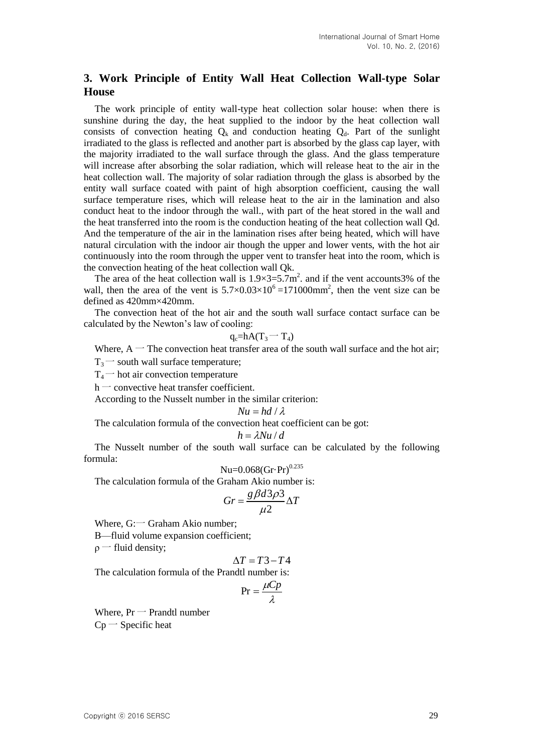# **3. Work Principle of Entity Wall Heat Collection Wall-type Solar House**

The work principle of entity wall-type heat collection solar house: when there is sunshine during the day, the heat supplied to the indoor by the heat collection wall consists of convection heating  $Q_k$  and conduction heating  $Q_d$ . Part of the sunlight irradiated to the glass is reflected and another part is absorbed by the glass cap layer, with the majority irradiated to the wall surface through the glass. And the glass temperature will increase after absorbing the solar radiation, which will release heat to the air in the heat collection wall. The majority of solar radiation through the glass is absorbed by the entity wall surface coated with paint of high absorption coefficient, causing the wall surface temperature rises, which will release heat to the air in the lamination and also conduct heat to the indoor through the wall., with part of the heat stored in the wall and the heat transferred into the room is the conduction heating of the heat collection wall Qd. And the temperature of the air in the lamination rises after being heated, which will have natural circulation with the indoor air though the upper and lower vents, with the hot air continuously into the room through the upper vent to transfer heat into the room, which is the convection heating of the heat collection wall Qk.

The area of the heat collection wall is  $1.9 \times 3 = 5.7$  m<sup>2</sup> and if the vent accounts 3% of the wall, then the area of the vent is  $5.7 \times 0.03 \times 10^{6} = 171000$  mm<sup>2</sup>, then the vent size can be defined as 420mm×420mm.

The convection heat of the hot air and the south wall surface contact surface can be calculated by the Newton's law of cooling:

$$
q_c = hA(T_3 - T_4)
$$

Where,  $A$  – The convection heat transfer area of the south wall surface and the hot air;

 $T_3$  south wall surface temperature;

 $T_4$  tot air convection temperature

 $h$  – convective heat transfer coefficient.

According to the Nusselt number in the similar criterion:

$$
Nu = hd / \lambda
$$

The calculation formula of the convection heat coefficient can be got:

$$
h = \lambda Nu / d
$$

The Nusselt number of the south wall surface can be calculated by the following formula:

$$
Nu=0.068(Gr\cdot Pr)^{0.235}
$$

The calculation formula of the Graham Akio number is:

$$
Gr = \frac{g\beta d3\rho 3}{\mu 2} \Delta T
$$

Where,  $G:$  Graham Akio number;

Β—fluid volume expansion coefficient;

 $\rho$  – fluid density;

$$
\Delta T = T3 - T4
$$

The calculation formula of the Prandtl number is:

$$
Pr = \frac{\mu C p}{\lambda}
$$

Where,  $Pr$  – Prandtl number  $Cp$  – Specific heat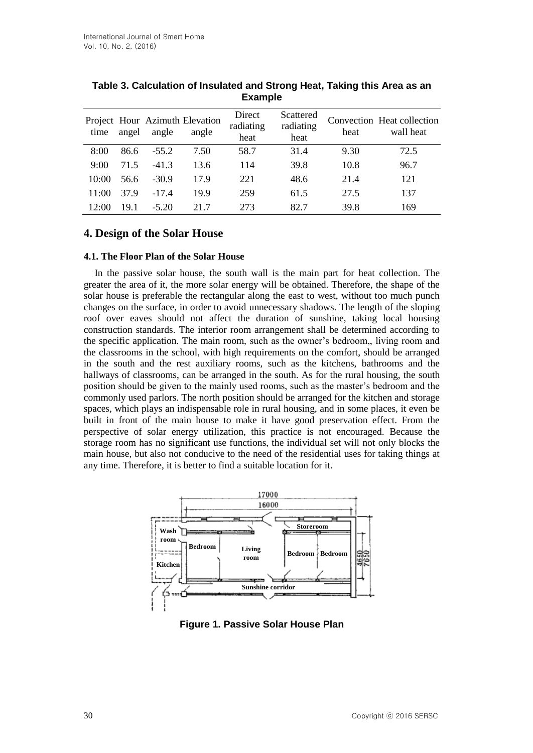| time  | angel | angle   | Project Hour Azimuth Elevation<br>angle | Direct<br>radiating<br>heat | Scattered<br>radiating<br>heat | heat | Convection Heat collection<br>wall heat |
|-------|-------|---------|-----------------------------------------|-----------------------------|--------------------------------|------|-----------------------------------------|
| 8:00  | 86.6  | $-55.2$ | 7.50                                    | 58.7                        | 31.4                           | 9.30 | 72.5                                    |
| 9:00  | 71.5  | $-41.3$ | 13.6                                    | 114                         | 39.8                           | 10.8 | 96.7                                    |
| 10:00 | 56.6  | $-30.9$ | 17.9                                    | 221                         | 48.6                           | 21.4 | 121                                     |
| 11:00 | 37.9  | $-17.4$ | 19.9                                    | 259                         | 61.5                           | 27.5 | 137                                     |
| 12:00 | 19.1  | $-5.20$ | 21.7                                    | 273                         | 82.7                           | 39.8 | 169                                     |

**Table 3. Calculation of Insulated and Strong Heat, Taking this Area as an Example**

# **4. Design of the Solar House**

## **4.1. The Floor Plan of the Solar House**

In the passive solar house, the south wall is the main part for heat collection. The greater the area of it, the more solar energy will be obtained. Therefore, the shape of the solar house is preferable the rectangular along the east to west, without too much punch changes on the surface, in order to avoid unnecessary shadows. The length of the sloping roof over eaves should not affect the duration of sunshine, taking local housing construction standards. The interior room arrangement shall be determined according to the specific application. The main room, such as the owner's bedroom,, living room and the classrooms in the school, with high requirements on the comfort, should be arranged in the south and the rest auxiliary rooms, such as the kitchens, bathrooms and the hallways of classrooms, can be arranged in the south. As for the rural housing, the south position should be given to the mainly used rooms, such as the master's bedroom and the commonly used parlors. The north position should be arranged for the kitchen and storage spaces, which plays an indispensable role in rural housing, and in some places, it even be built in front of the main house to make it have good preservation effect. From the perspective of solar energy utilization, this practice is not encouraged. Because the storage room has no significant use functions, the individual set will not only blocks the main house, but also not conducive to the need of the residential uses for taking things at any time. Therefore, it is better to find a suitable location for it.



**Figure 1. Passive Solar House Plan**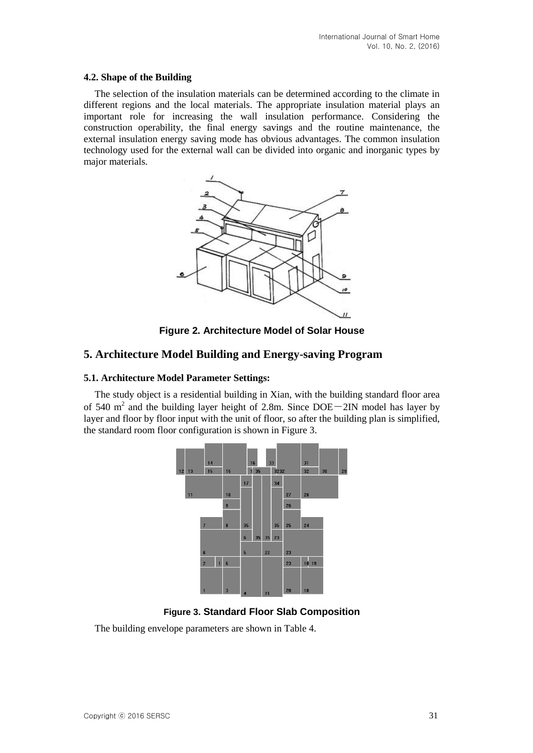## **4.2. Shape of the Building**

The selection of the insulation materials can be determined according to the climate in different regions and the local materials. The appropriate insulation material plays an important role for increasing the wall insulation performance. Considering the construction operability, the final energy savings and the routine maintenance, the external insulation energy saving mode has obvious advantages. The common insulation technology used for the external wall can be divided into organic and inorganic types by major materials.



**Figure 2. Architecture Model of Solar House**

# **5. Architecture Model Building and Energy-saving Program**

# **5.1. Architecture Model Parameter Settings:**

The study object is a residential building in Xian, with the building standard floor area of 540  $m<sup>2</sup>$  and the building layer height of 2.8m. Since DOE $-2$ IN model has layer by layer and floor by floor input with the unit of floor, so after the building plan is simplified, the standard room floor configuration is shown in Figure 3.



**Figure 3. Standard Floor Slab Composition**

The building envelope parameters are shown in Table 4.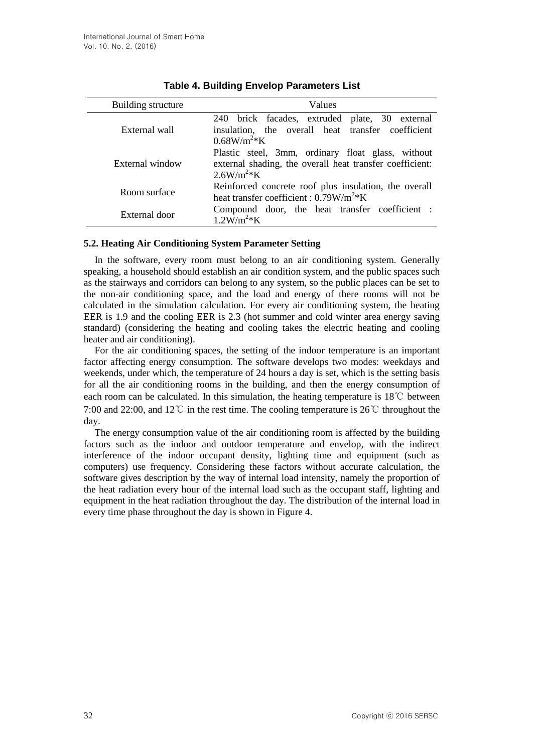| Building structure | Values                                                                                                                           |  |  |  |
|--------------------|----------------------------------------------------------------------------------------------------------------------------------|--|--|--|
| External wall      | 240 brick facades, extruded plate, 30 external<br>insulation, the overall heat transfer coefficient<br>$0.68W/m2*K$              |  |  |  |
| External window    | Plastic steel, 3mm, ordinary float glass, without<br>external shading, the overall heat transfer coefficient:<br>$2.6 W/m^{2*}K$ |  |  |  |
| Room surface       | Reinforced concrete roof plus insulation, the overall<br>heat transfer coefficient : $0.79W/m^2*K$                               |  |  |  |
| External door      | Compound door, the heat transfer coefficient :<br>$1.2W/m^2*K$                                                                   |  |  |  |

## **5.2. Heating Air Conditioning System Parameter Setting**

In the software, every room must belong to an air conditioning system. Generally speaking, a household should establish an air condition system, and the public spaces such as the stairways and corridors can belong to any system, so the public places can be set to the non-air conditioning space, and the load and energy of there rooms will not be calculated in the simulation calculation. For every air conditioning system, the heating EER is 1.9 and the cooling EER is 2.3 (hot summer and cold winter area energy saving standard) (considering the heating and cooling takes the electric heating and cooling heater and air conditioning).

For the air conditioning spaces, the setting of the indoor temperature is an important factor affecting energy consumption. The software develops two modes: weekdays and weekends, under which, the temperature of 24 hours a day is set, which is the setting basis for all the air conditioning rooms in the building, and then the energy consumption of each room can be calculated. In this simulation, the heating temperature is 18℃ between 7:00 and 22:00, and 12℃ in the rest time. The cooling temperature is 26℃ throughout the day.

The energy consumption value of the air conditioning room is affected by the building factors such as the indoor and outdoor temperature and envelop, with the indirect interference of the indoor occupant density, lighting time and equipment (such as computers) use frequency. Considering these factors without accurate calculation, the software gives description by the way of internal load intensity, namely the proportion of the heat radiation every hour of the internal load such as the occupant staff, lighting and equipment in the heat radiation throughout the day. The distribution of the internal load in every time phase throughout the day is shown in Figure 4.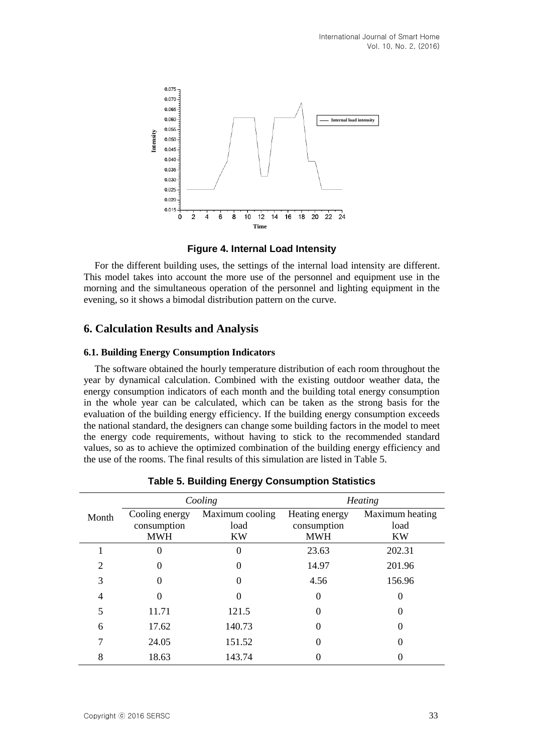

**Figure 4. Internal Load Intensity**

For the different building uses, the settings of the internal load intensity are different. This model takes into account the more use of the personnel and equipment use in the morning and the simultaneous operation of the personnel and lighting equipment in the evening, so it shows a bimodal distribution pattern on the curve.

# **6. Calculation Results and Analysis**

## **6.1. Building Energy Consumption Indicators**

The software obtained the hourly temperature distribution of each room throughout the year by dynamical calculation. Combined with the existing outdoor weather data, the energy consumption indicators of each month and the building total energy consumption in the whole year can be calculated, which can be taken as the strong basis for the evaluation of the building energy efficiency. If the building energy consumption exceeds the national standard, the designers can change some building factors in the model to meet the energy code requirements, without having to stick to the recommended standard values, so as to achieve the optimized combination of the building energy efficiency and the use of the rooms. The final results of this simulation are listed in Table 5.

| Cooling        |                                             | <b>Heating</b>                       |                                             |                                      |
|----------------|---------------------------------------------|--------------------------------------|---------------------------------------------|--------------------------------------|
| Month          | Cooling energy<br>consumption<br><b>MWH</b> | Maximum cooling<br>load<br><b>KW</b> | Heating energy<br>consumption<br><b>MWH</b> | Maximum heating<br>load<br><b>KW</b> |
|                | 0                                           |                                      | 23.63                                       | 202.31                               |
| $\overline{c}$ |                                             |                                      | 14.97                                       | 201.96                               |
| 3              |                                             |                                      | 4.56                                        | 156.96                               |
| 4              |                                             |                                      |                                             | 0                                    |
| 5              | 11.71                                       | 121.5                                |                                             |                                      |
| 6              | 17.62                                       | 140.73                               |                                             |                                      |
|                | 24.05                                       | 151.52                               |                                             |                                      |
| 8              | 18.63                                       | 143.74                               |                                             |                                      |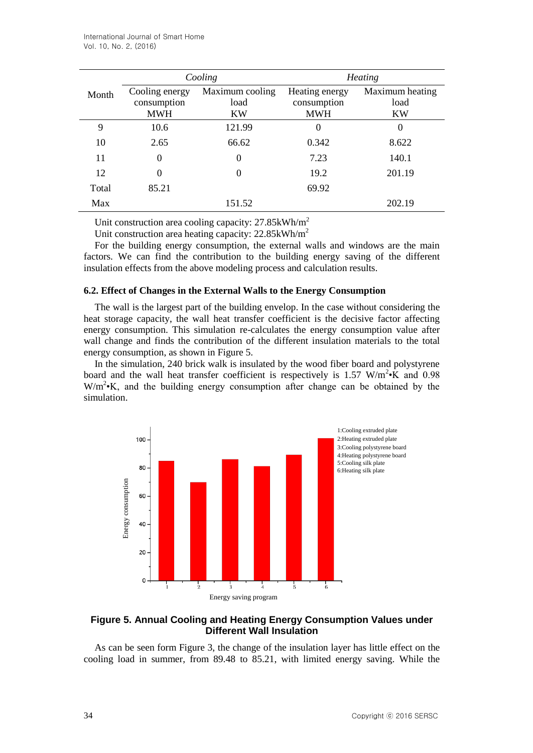|       |                                             | Cooling                              | <b>Heating</b>                              |                                      |  |
|-------|---------------------------------------------|--------------------------------------|---------------------------------------------|--------------------------------------|--|
| Month | Cooling energy<br>consumption<br><b>MWH</b> | Maximum cooling<br>load<br><b>KW</b> | Heating energy<br>consumption<br><b>MWH</b> | Maximum heating<br>load<br><b>KW</b> |  |
| 9     | 10.6                                        | 121.99                               | $\theta$                                    | $\overline{0}$                       |  |
| 10    | 2.65                                        | 66.62                                | 0.342                                       | 8.622                                |  |
| 11    | $\boldsymbol{0}$                            | 0                                    | 7.23                                        | 140.1                                |  |
| 12    | 0                                           | $\boldsymbol{0}$                     | 19.2                                        | 201.19                               |  |
| Total | 85.21                                       |                                      | 69.92                                       |                                      |  |
| Max   |                                             | 151.52                               |                                             | 202.19                               |  |

Unit construction area cooling capacity: 27.85kWh/m<sup>2</sup>

Unit construction area heating capacity: 22.85kWh/m<sup>2</sup>

For the building energy consumption, the external walls and windows are the main factors. We can find the contribution to the building energy saving of the different insulation effects from the above modeling process and calculation results.

#### **6.2. Effect of Changes in the External Walls to the Energy Consumption**

The wall is the largest part of the building envelop. In the case without considering the heat storage capacity, the wall heat transfer coefficient is the decisive factor affecting energy consumption. This simulation re-calculates the energy consumption value after wall change and finds the contribution of the different insulation materials to the total energy consumption, as shown in Figure 5.

In the simulation, 240 brick walk is insulated by the wood fiber board and polystyrene board and the wall heat transfer coefficient is respectively is 1.57 W/m<sup>2</sup> $\cdot$ K and 0.98 W/m<sup>2</sup> K, and the building energy consumption after change can be obtained by the simulation.



# **Figure 5. Annual Cooling and Heating Energy Consumption Values under Different Wall Insulation**

As can be seen form Figure 3, the change of the insulation layer has little effect on the cooling load in summer, from 89.48 to 85.21, with limited energy saving. While the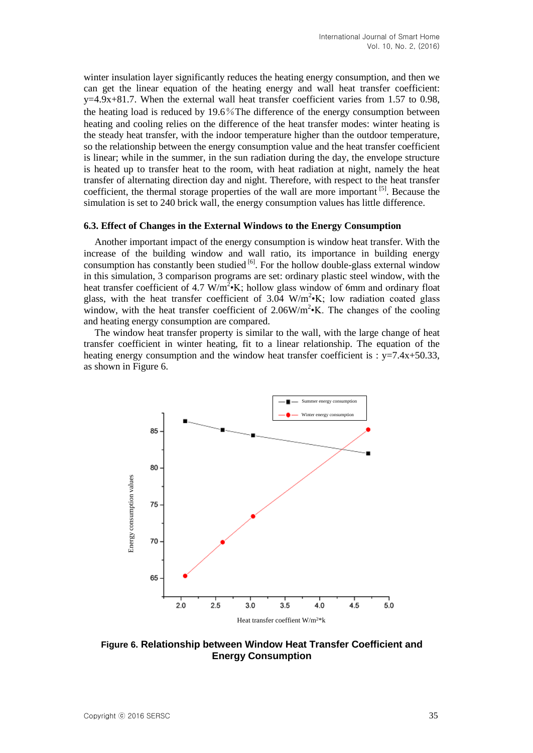winter insulation layer significantly reduces the heating energy consumption, and then we can get the linear equation of the heating energy and wall heat transfer coefficient:  $y=4.9x+81.7$ . When the external wall heat transfer coefficient varies from 1.57 to 0.98, the heating load is reduced by 19.6%The difference of the energy consumption between heating and cooling relies on the difference of the heat transfer modes: winter heating is the steady heat transfer, with the indoor temperature higher than the outdoor temperature, so the relationship between the energy consumption value and the heat transfer coefficient is linear; while in the summer, in the sun radiation during the day, the envelope structure is heated up to transfer heat to the room, with heat radiation at night, namely the heat transfer of alternating direction day and night. Therefore, with respect to the heat transfer coefficient, the thermal storage properties of the wall are more important [5]. Because the simulation is set to 240 brick wall, the energy consumption values has little difference.

#### **6.3. Effect of Changes in the External Windows to the Energy Consumption**

Another important impact of the energy consumption is window heat transfer. With the increase of the building window and wall ratio, its importance in building energy consumption has constantly been studied  $\left[6\right]$ . For the hollow double-glass external window in this simulation, 3 comparison programs are set: ordinary plastic steel window, with the heat transfer coefficient of 4.7  $W/m^2$ <sup>\*</sup>K; hollow glass window of 6mm and ordinary float glass, with the heat transfer coefficient of 3.04  $W/m^2$ ·K; low radiation coated glass window, with the heat transfer coefficient of  $2.06W/m^2$ ·K. The changes of the cooling and heating energy consumption are compared.

The window heat transfer property is similar to the wall, with the large change of heat transfer coefficient in winter heating, fit to a linear relationship. The equation of the heating energy consumption and the window heat transfer coefficient is :  $y=7.4x+50.33$ , as shown in Figure 6.



**Figure 6. Relationship between Window Heat Transfer Coefficient and Energy Consumption**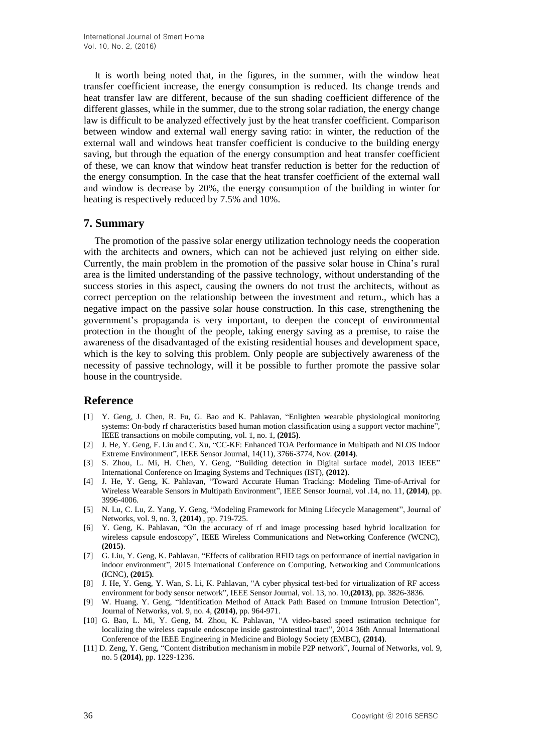It is worth being noted that, in the figures, in the summer, with the window heat transfer coefficient increase, the energy consumption is reduced. Its change trends and heat transfer law are different, because of the sun shading coefficient difference of the different glasses, while in the summer, due to the strong solar radiation, the energy change law is difficult to be analyzed effectively just by the heat transfer coefficient. Comparison between window and external wall energy saving ratio: in winter, the reduction of the external wall and windows heat transfer coefficient is conducive to the building energy saving, but through the equation of the energy consumption and heat transfer coefficient of these, we can know that window heat transfer reduction is better for the reduction of the energy consumption. In the case that the heat transfer coefficient of the external wall and window is decrease by 20%, the energy consumption of the building in winter for heating is respectively reduced by 7.5% and 10%.

## **7. Summary**

The promotion of the passive solar energy utilization technology needs the cooperation with the architects and owners, which can not be achieved just relying on either side. Currently, the main problem in the promotion of the passive solar house in China's rural area is the limited understanding of the passive technology, without understanding of the success stories in this aspect, causing the owners do not trust the architects, without as correct perception on the relationship between the investment and return., which has a negative impact on the passive solar house construction. In this case, strengthening the government's propaganda is very important, to deepen the concept of environmental protection in the thought of the people, taking energy saving as a premise, to raise the awareness of the disadvantaged of the existing residential houses and development space, which is the key to solving this problem. Only people are subjectively awareness of the necessity of passive technology, will it be possible to further promote the passive solar house in the countryside.

# **Reference**

- [1] Y. Geng, J. Chen, R. Fu, G. Bao and K. Pahlavan, "Enlighten wearable physiological monitoring systems: On-body rf characteristics based human motion classification using a support vector machine", IEEE transactions on mobile computing, vol. 1, no. 1, **(2015)**.
- [2] J. He, Y. Geng, F. Liu and C. Xu, "CC-KF: Enhanced TOA Performance in Multipath and NLOS Indoor Extreme Environment", IEEE Sensor Journal, 14(11), 3766-3774, Nov. **(2014)**.
- [3] S. Zhou, L. Mi, H. Chen, Y. Geng, "Building detection in Digital surface model, 2013 IEEE" International Conference on Imaging Systems and Techniques (IST), **(2012)**.
- [4] J. He, Y. Geng, K. Pahlavan, "Toward Accurate Human Tracking: Modeling Time-of-Arrival for Wireless Wearable Sensors in Multipath Environment", IEEE Sensor Journal, vol .14, no. 11, **(2014)**, pp. 3996-4006.
- [5] N. Lu, C. Lu, Z. Yang, Y. Geng, "Modeling Framework for Mining Lifecycle Management", Journal of Networks, vol. 9, no. 3, **(2014)** , pp. 719-725.
- [6] Y. Geng, K. Pahlavan, "On the accuracy of rf and image processing based hybrid localization for wireless capsule endoscopy", IEEE Wireless Communications and Networking Conference (WCNC), **(2015)**.
- [7] G. Liu, Y. Geng, K. Pahlavan, "Effects of calibration RFID tags on performance of inertial navigation in indoor environment", 2015 International Conference on Computing, Networking and Communications (ICNC), **(2015)**.
- [8] J. He, Y. Geng, Y. Wan, S. Li, K. Pahlavan, "A cyber physical test-bed for virtualization of RF access environment for body sensor network", IEEE Sensor Journal, vol. 13, no. 10,**(2013)**, pp. 3826-3836.
- [9] W. Huang, Y. Geng, "Identification Method of Attack Path Based on Immune Intrusion Detection", Journal of Networks, vol. 9, no. 4, **(2014)**, pp. 964-971.
- [10] G. Bao, L. Mi, Y. Geng, M. Zhou, K. Pahlavan, "A video-based speed estimation technique for localizing the wireless capsule endoscope inside gastrointestinal tract", 2014 36th Annual International Conference of the IEEE Engineering in Medicine and Biology Society (EMBC), **(2014)**.
- [11] D. Zeng, Y. Geng, "Content distribution mechanism in mobile P2P network", Journal of Networks, vol. 9, no. 5 **(2014)**, pp. 1229-1236.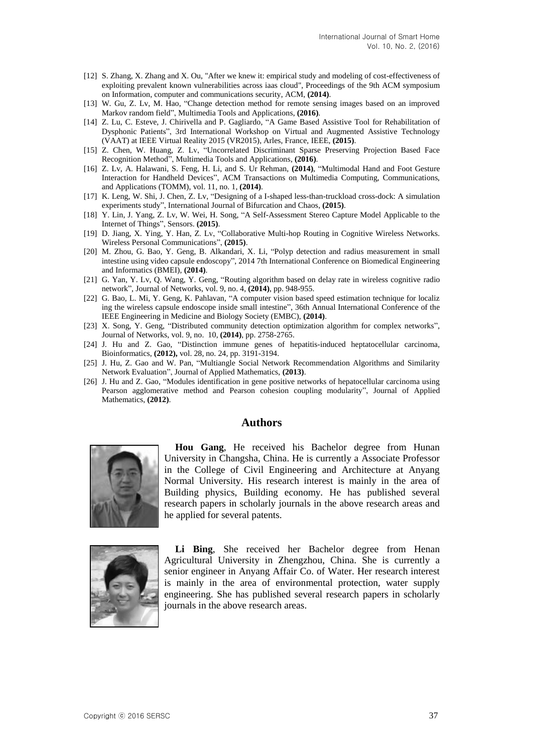- [12] S. Zhang, X. Zhang and X. Ou, "After we knew it: empirical study and modeling of cost-effectiveness of exploiting prevalent known vulnerabilities across iaas cloud", Proceedings of the 9th ACM symposium on Information, computer and communications security, ACM, **(2014)**.
- [13] W. Gu, Z. Lv, M. Hao, "Change detection method for remote sensing images based on an improved Markov random field", Multimedia Tools and Applications, **(2016)**.
- [14] Z. Lu, C. Esteve, J. Chirivella and P. Gagliardo, "A Game Based Assistive Tool for Rehabilitation of Dysphonic Patients", 3rd International Workshop on Virtual and Augmented Assistive Technology (VAAT) at IEEE Virtual Reality 2015 (VR2015), Arles, France, IEEE, **(2015)**.
- [15] Z. Chen, W. Huang, Z. Lv, "Uncorrelated Discriminant Sparse Preserving Projection Based Face Recognition Method", Multimedia Tools and Applications, **(2016)**.
- [16] Z. Lv, A. Halawani, S. Feng, H. Li, and S. Ur Rehman, **(2014)**, "Multimodal Hand and Foot Gesture Interaction for Handheld Devices", ACM Transactions on Multimedia Computing, Communications, and Applications (TOMM), vol. 11, no. 1, **(2014)**.
- [17] K. Leng, W. Shi, J. Chen, Z. Lv, "Designing of a I-shaped less-than-truckload cross-dock: A simulation experiments study", International Journal of Bifurcation and Chaos, **(2015)**.
- [18] Y. Lin, J. Yang, Z. Lv, W. Wei, H. Song, "A Self-Assessment Stereo Capture Model Applicable to the Internet of Things", Sensors. **(2015)**.
- [19] D. Jiang, X. Ying, Y. Han, Z. Lv, "Collaborative Multi-hop Routing in Cognitive Wireless Networks. Wireless Personal Communications", **(2015)**.
- [20] M. Zhou, G. Bao, Y. Geng, B. Alkandari, X. Li, "Polyp detection and radius measurement in small intestine using video capsule endoscopy", 2014 7th International Conference on Biomedical Engineering and Informatics (BMEI), **(2014)**.
- [21] G. Yan, Y. Lv, Q. Wang, Y. Geng, "Routing algorithm based on delay rate in wireless cognitive radio network", Journal of Networks, vol. 9, no. 4, **(2014)**, pp. 948-955.
- [22] G. Bao, L. Mi, Y. Geng, K. Pahlavan, "A computer vision based speed estimation technique for localiz ing the wireless capsule endoscope inside small intestine", 36th Annual International Conference of the IEEE Engineering in Medicine and Biology Society (EMBC), **(2014)**.
- [23] X. Song, Y. Geng, "Distributed community detection optimization algorithm for complex networks", Journal of Networks, vol. 9, no. 10, **(2014)**, pp. 2758-2765.
- [24] J. Hu and Z. Gao, "Distinction immune genes of hepatitis-induced heptatocellular carcinoma, Bioinformatics, **(2012),** vol. 28, no. 24, pp. 3191-3194.
- [25] J. Hu, Z. Gao and W. Pan, "Multiangle Social Network Recommendation Algorithms and Similarity Network Evaluation", Journal of Applied Mathematics, **(2013)**.
- [26] J. Hu and Z. Gao, "Modules identification in gene positive networks of hepatocellular carcinoma using Pearson agglomerative method and Pearson cohesion coupling modularity", Journal of Applied Mathematics, **(2012)**.

## **Authors**



**Hou Gang**, He received his Bachelor degree from Hunan University in Changsha, China. He is currently a Associate Professor in the College of Civil Engineering and Architecture at Anyang Normal University. His research interest is mainly in the area of Building physics, Building economy. He has published several research papers in scholarly journals in the above research areas and he applied for several patents.



Li Bing, She received her Bachelor degree from Henan Agricultural University in Zhengzhou, China. She is currently a senior engineer in Anyang Affair Co. of Water. Her research interest is mainly in the area of environmental protection, water supply engineering. She has published several research papers in scholarly journals in the above research areas.